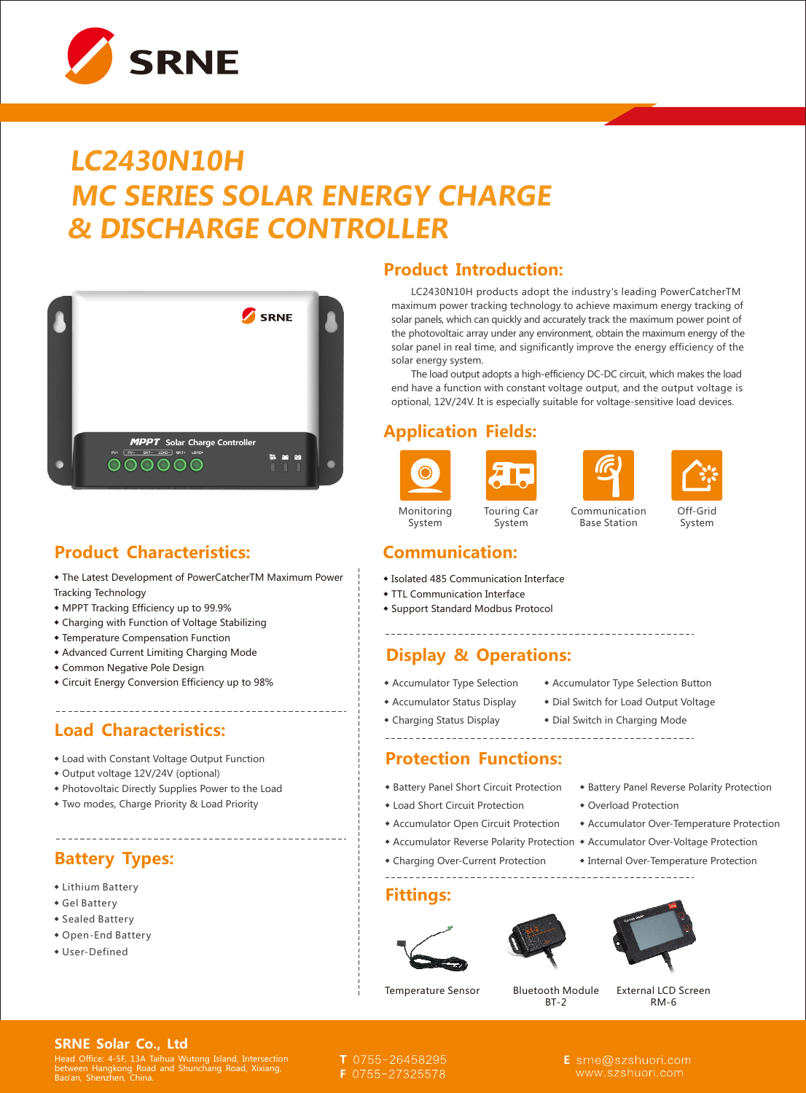

# **LC2430N10H MC SERIES SOLAR ENERGY CHARGE & DISCHARGE CONTROLLER**



## **Product Characteristics:**

◆ The Latest Development of PowerCatcherTM Maximum Power Tracking Technology

- ◆ MPPT Tracking Efficiency up to 99.9%
- ◆ Charging with Function of Voltage Stabilizing
- ◆ Temperature Compensation Function
- ◆ Advanced Current Limiting Charging Mode
- ◆ Common Negative Pole Design
- ◆ Circuit Energy Conversion Efficiency up to 98%

#### **Load Characteristics:**

- ◆ Load with Constant Voltage Output Function
- ◆ Output voltage 12V/24V (optional)
- ◆ Photovoltaic Directly Supplies Power to the Load

◆ Two modes, Charge Priority & Load Priority

### **Battery Types:**

- ◆ Lithium Battery
- ◆ Gel Battery
- ◆ Sealed Battery
- ◆ Open-End Battery
- ◆ User-Defined

#### **Product Introduction:**

 LC2430N10H products adopt the industry's leading PowerCatcherTM maximum power tracking technology to achieve maximum energy tracking of solar panels, which can quickly and accurately track the maximum power point of the photovoltaic array under any environment, obtain the maximum energy of the solar panel in real time, and significantly improve the energy efficiency of the solar energy system.

 The load output adopts a high-efficiency DC-DC circuit, which makes the load end have a function with constant voltage output, and the output voltage is optional, 12V/24V. It is especially suitable for voltage-sensitive load devices.

### **Application Fields:**







Communication Base Station

#### Off-Grid System

#### **Communication:**

- ◆ Isolated 485 Communication Interface
- ◆ TTL Communication Interface
- ◆ Support Standard Modbus Protocol

### **Display & Operations:**

- ◆ Accumulator Type Selection ◆ Accumulator Type Selection Button
	-

- ◆ Accumulator Status Display ◆ Dial Switch for Load Output Voltage
- ◆ Charging Status Display ◆ Dial Switch in Charging Mode

#### **Protection Functions:**

- ◆ Battery Panel Short Circuit Protection
- ◆ Load Short Circuit Protection ◆ Overload Protection
- ◆ Accumulator Open Circuit Protection ◆ Accumulator Over-Temperature Protection
- ◆ Accumulator Reverse Polarity Protection ◆ Accumulator Over-Voltage Protection
- ◆ Charging Over-Current Protection ◆ Internal Over-Temperature Protection

#### **Fittings:**







◆ Battery Panel Reverse Polarity Protection

| <b>Temperature Sensor</b> |  |
|---------------------------|--|
|---------------------------|--|

**Bluetooth Module** BT-2

External LCD Screen RM-6

#### **SRNE Solar Co., Ltd**

Head Office: 4-5F, 13A Taihua Wutong Island, Intersection between Hangkong Road and Shunchang Road, Xixiang, Bao'an, Shenzhen, China.

- T 0755-26458295
- F 0755-27325578

E srne@szshuori.com



#### Monitoring System Touring Car System